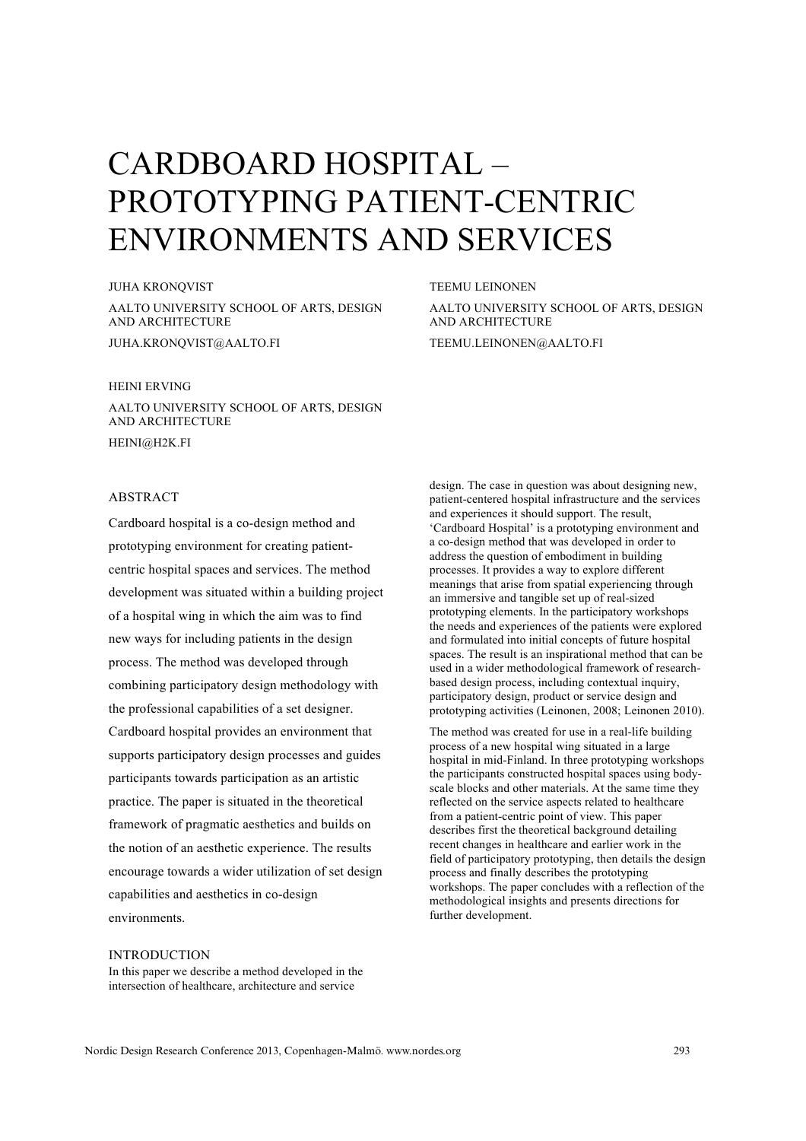# CARDBOARD HOSPITAL – PROTOTYPING PATIENT-CENTRIC ENVIRONMENTS AND SERVICES

JUHA KRONQVIST AALTO UNIVERSITY SCHOOL OF ARTS, DESIGN AND ARCHITECTURE JUHA.KRONQVIST@AALTO.FI

# HEINI ERVING

AALTO UNIVERSITY SCHOOL OF ARTS, DESIGN AND ARCHITECTURE HEINI@H2K.FI

# ABSTRACT

Cardboard hospital is a co-design method and prototyping environment for creating patientcentric hospital spaces and services. The method development was situated within a building project of a hospital wing in which the aim was to find new ways for including patients in the design process. The method was developed through combining participatory design methodology with the professional capabilities of a set designer. Cardboard hospital provides an environment that supports participatory design processes and guides participants towards participation as an artistic practice. The paper is situated in the theoretical framework of pragmatic aesthetics and builds on the notion of an aesthetic experience. The results encourage towards a wider utilization of set design capabilities and aesthetics in co-design environments.

TEEMU LEINONEN

AALTO UNIVERSITY SCHOOL OF ARTS, DESIGN AND ARCHITECTURE

TEEMU.LEINONEN@AALTO.FI

design. The case in question was about designing new, patient-centered hospital infrastructure and the services and experiences it should support. The result, 'Cardboard Hospital' is a prototyping environment and a co-design method that was developed in order to address the question of embodiment in building processes. It provides a way to explore different meanings that arise from spatial experiencing through an immersive and tangible set up of real-sized prototyping elements. In the participatory workshops the needs and experiences of the patients were explored and formulated into initial concepts of future hospital spaces. The result is an inspirational method that can be used in a wider methodological framework of researchbased design process, including contextual inquiry, participatory design, product or service design and prototyping activities (Leinonen, 2008; Leinonen 2010).

The method was created for use in a real-life building process of a new hospital wing situated in a large hospital in mid-Finland. In three prototyping workshops the participants constructed hospital spaces using bodyscale blocks and other materials. At the same time they reflected on the service aspects related to healthcare from a patient-centric point of view. This paper describes first the theoretical background detailing recent changes in healthcare and earlier work in the field of participatory prototyping, then details the design process and finally describes the prototyping workshops. The paper concludes with a reflection of the methodological insights and presents directions for further development.

# INTRODUCTION

In this paper we describe a method developed in the intersection of healthcare, architecture and service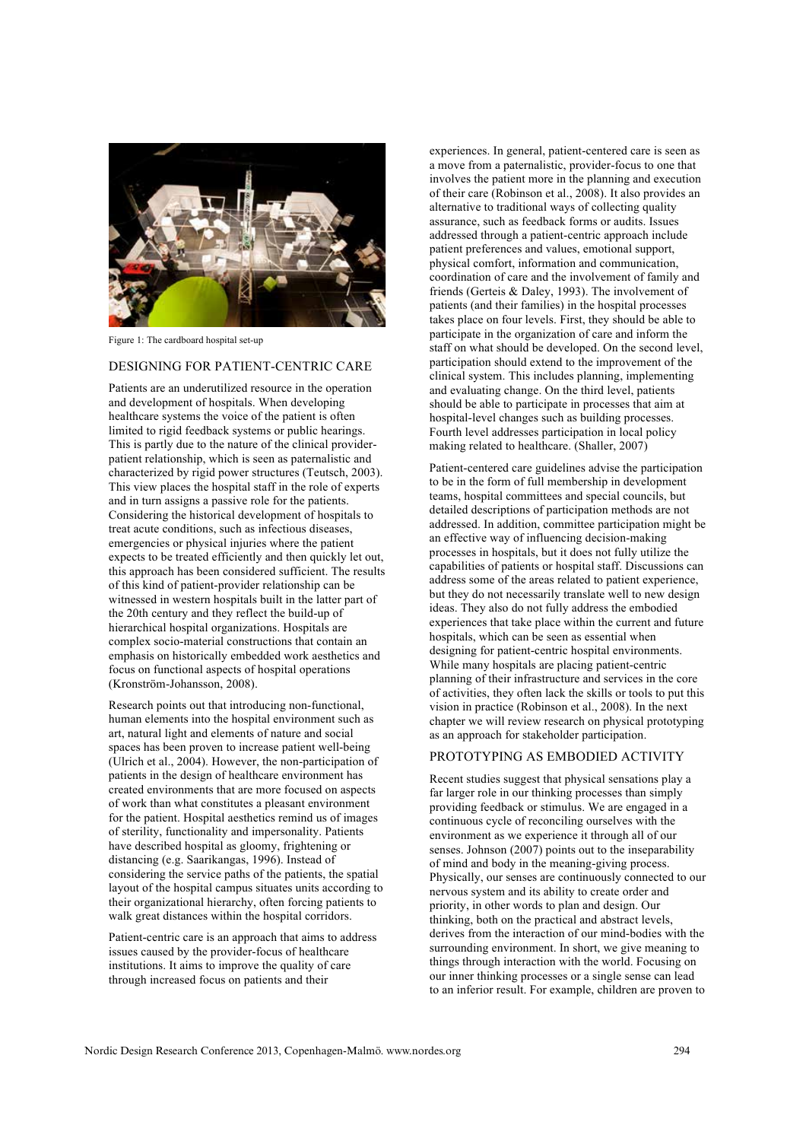

Figure 1: The cardboard hospital set-up

# DESIGNING FOR PATIENT-CENTRIC CARE

Patients are an underutilized resource in the operation and development of hospitals. When developing healthcare systems the voice of the patient is often limited to rigid feedback systems or public hearings. This is partly due to the nature of the clinical providerpatient relationship, which is seen as paternalistic and characterized by rigid power structures (Teutsch, 2003). This view places the hospital staff in the role of experts and in turn assigns a passive role for the patients. Considering the historical development of hospitals to treat acute conditions, such as infectious diseases, emergencies or physical injuries where the patient expects to be treated efficiently and then quickly let out, this approach has been considered sufficient. The results of this kind of patient-provider relationship can be witnessed in western hospitals built in the latter part of the 20th century and they reflect the build-up of hierarchical hospital organizations. Hospitals are complex socio-material constructions that contain an emphasis on historically embedded work aesthetics and focus on functional aspects of hospital operations (Kronström-Johansson, 2008).

Research points out that introducing non-functional, human elements into the hospital environment such as art, natural light and elements of nature and social spaces has been proven to increase patient well-being (Ulrich et al., 2004). However, the non-participation of patients in the design of healthcare environment has created environments that are more focused on aspects of work than what constitutes a pleasant environment for the patient. Hospital aesthetics remind us of images of sterility, functionality and impersonality. Patients have described hospital as gloomy, frightening or distancing (e.g. Saarikangas, 1996). Instead of considering the service paths of the patients, the spatial layout of the hospital campus situates units according to their organizational hierarchy, often forcing patients to walk great distances within the hospital corridors.

Patient-centric care is an approach that aims to address issues caused by the provider-focus of healthcare institutions. It aims to improve the quality of care through increased focus on patients and their

experiences. In general, patient-centered care is seen as a move from a paternalistic, provider-focus to one that involves the patient more in the planning and execution of their care (Robinson et al., 2008). It also provides an alternative to traditional ways of collecting quality assurance, such as feedback forms or audits. Issues addressed through a patient-centric approach include patient preferences and values, emotional support, physical comfort, information and communication, coordination of care and the involvement of family and friends (Gerteis & Daley, 1993). The involvement of patients (and their families) in the hospital processes takes place on four levels. First, they should be able to participate in the organization of care and inform the staff on what should be developed. On the second level, participation should extend to the improvement of the clinical system. This includes planning, implementing and evaluating change. On the third level, patients should be able to participate in processes that aim at hospital-level changes such as building processes. Fourth level addresses participation in local policy making related to healthcare. (Shaller, 2007)

Patient-centered care guidelines advise the participation to be in the form of full membership in development teams, hospital committees and special councils, but detailed descriptions of participation methods are not addressed. In addition, committee participation might be an effective way of influencing decision-making processes in hospitals, but it does not fully utilize the capabilities of patients or hospital staff. Discussions can address some of the areas related to patient experience, but they do not necessarily translate well to new design ideas. They also do not fully address the embodied experiences that take place within the current and future hospitals, which can be seen as essential when designing for patient-centric hospital environments. While many hospitals are placing patient-centric planning of their infrastructure and services in the core of activities, they often lack the skills or tools to put this vision in practice (Robinson et al., 2008). In the next chapter we will review research on physical prototyping as an approach for stakeholder participation.

#### PROTOTYPING AS EMBODIED ACTIVITY

Recent studies suggest that physical sensations play a far larger role in our thinking processes than simply providing feedback or stimulus. We are engaged in a continuous cycle of reconciling ourselves with the environment as we experience it through all of our senses. Johnson (2007) points out to the inseparability of mind and body in the meaning-giving process. Physically, our senses are continuously connected to our nervous system and its ability to create order and priority, in other words to plan and design. Our thinking, both on the practical and abstract levels, derives from the interaction of our mind-bodies with the surrounding environment. In short, we give meaning to things through interaction with the world. Focusing on our inner thinking processes or a single sense can lead to an inferior result. For example, children are proven to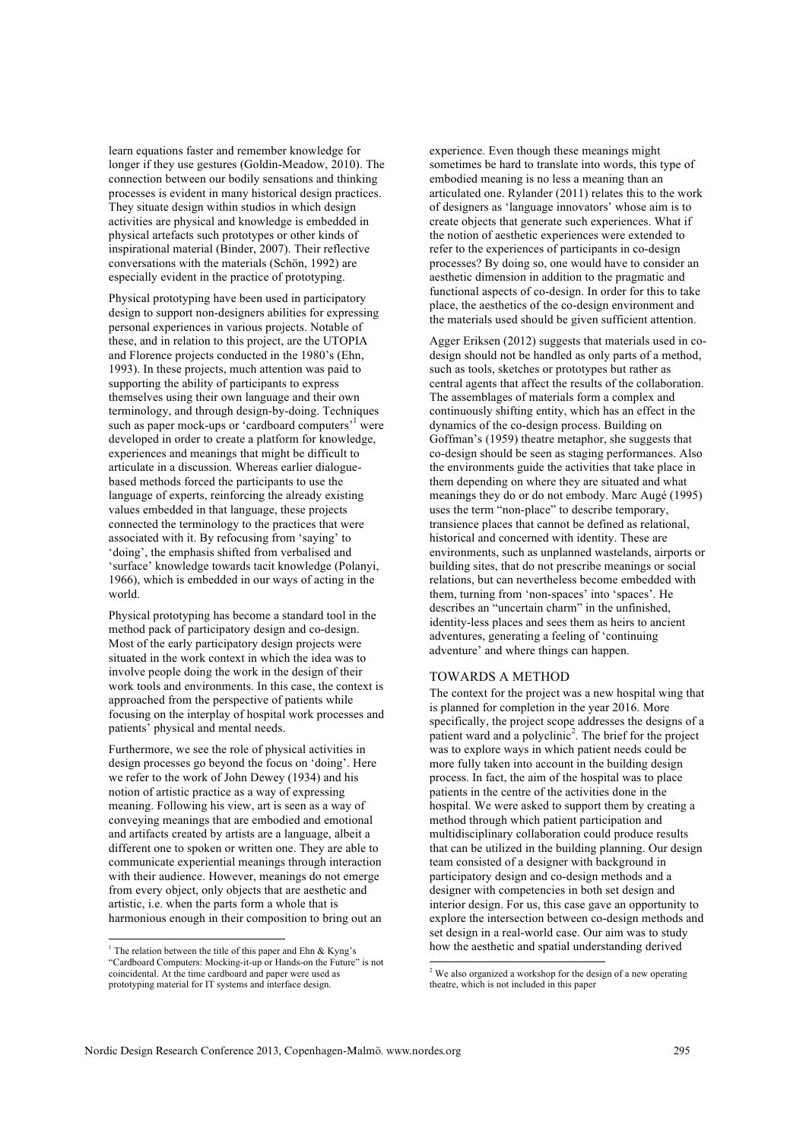learn equations faster and remember knowledge for longer if they use gestures (Goldin-Meadow, 2010). The connection between our bodily sensations and thinking processes is evident in many historical design practices. They situate design within studios in which design activities are physical and knowledge is embedded in physical artefacts such prototypes or other kinds of inspirational material (Binder, 2007). Their reflective conversations with the materials (Schön, 1992) are especially evident in the practice of prototyping.

Physical prototyping have been used in participatory design to support non-designers abilities for expressing personal experiences in various projects. Notable of these, and in relation to this project, are the UTOPIA and Florence projects conducted in the 1980's (Ehn, 1993). In these projects, much attention was paid to supporting the ability of participants to express themselves using their own language and their own terminology, and through design-by-doing. Techniques such as paper mock-ups or 'cardboard computers'<sup>1</sup> were developed in order to create a platform for knowledge, experiences and meanings that might be difficult to articulate in a discussion. Whereas earlier dialoguebased methods forced the participants to use the language of experts, reinforcing the already existing values embedded in that language, these projects connected the terminology to the practices that were associated with it. By refocusing from 'saying' to 'doing', the emphasis shifted from verbalised and 'surface' knowledge towards tacit knowledge (Polanyi, 1966), which is embedded in our ways of acting in the world.

Physical prototyping has become a standard tool in the method pack of participatory design and co-design. Most of the early participatory design projects were situated in the work context in which the idea was to involve people doing the work in the design of their work tools and environments. In this case, the context is approached from the perspective of patients while focusing on the interplay of hospital work processes and patients' physical and mental needs.

Furthermore, we see the role of physical activities in design processes go beyond the focus on 'doing'. Here we refer to the work of John Dewey (1934) and his notion of artistic practice as a way of expressing meaning. Following his view, art is seen as a way of conveying meanings that are embodied and emotional and artifacts created by artists are a language, albeit a different one to spoken or written one. They are able to communicate experiential meanings through interaction with their audience. However, meanings do not emerge from every object, only objects that are aesthetic and artistic, i.e. when the parts form a whole that is harmonious enough in their composition to bring out an experience. Even though these meanings might sometimes be hard to translate into words, this type of embodied meaning is no less a meaning than an articulated one. Rylander (2011) relates this to the work of designers as 'language innovators' whose aim is to create objects that generate such experiences. What if the notion of aesthetic experiences were extended to refer to the experiences of participants in co-design processes? By doing so, one would have to consider an aesthetic dimension in addition to the pragmatic and functional aspects of co-design. In order for this to take place, the aesthetics of the co-design environment and the materials used should be given sufficient attention.

Agger Eriksen (2012) suggests that materials used in codesign should not be handled as only parts of a method, such as tools, sketches or prototypes but rather as central agents that affect the results of the collaboration. The assemblages of materials form a complex and continuously shifting entity, which has an effect in the dynamics of the co-design process. Building on Goffman's (1959) theatre metaphor, she suggests that co-design should be seen as staging performances. Also the environments guide the activities that take place in them depending on where they are situated and what meanings they do or do not embody. Marc Augé (1995) uses the term "non-place" to describe temporary, transience places that cannot be defined as relational, historical and concerned with identity. These are environments, such as unplanned wastelands, airports or building sites, that do not prescribe meanings or social relations, but can nevertheless become embedded with them, turning from 'non-spaces' into 'spaces'. He describes an "uncertain charm" in the unfinished, identity-less places and sees them as heirs to ancient adventures, generating a feeling of 'continuing adventure' and where things can happen.

#### TOWARDS A METHOD

The context for the project was a new hospital wing that is planned for completion in the year 2016. More specifically, the project scope addresses the designs of a patient ward and a polyclinic<sup>2</sup>. The brief for the project was to explore ways in which patient needs could be more fully taken into account in the building design process. In fact, the aim of the hospital was to place patients in the centre of the activities done in the hospital. We were asked to support them by creating a method through which patient participation and multidisciplinary collaboration could produce results that can be utilized in the building planning. Our design team consisted of a designer with background in participatory design and co-design methods and a designer with competencies in both set design and interior design. For us, this case gave an opportunity to explore the intersection between co-design methods and set design in a real-world case. Our aim was to study how the aesthetic and spatial understanding derived

<sup>&</sup>lt;sup>1</sup> The relation between the title of this paper and Ehn & Kyng's "Cardboard Computers: Mocking-it-up or Hands-on the Future" is not coincidental. At the time cardboard and paper were used as prototyping material for IT systems and interface design.

<sup>&</sup>lt;sup>2</sup> We also organized a workshop for the design of a new operating theatre, which is not included in this paper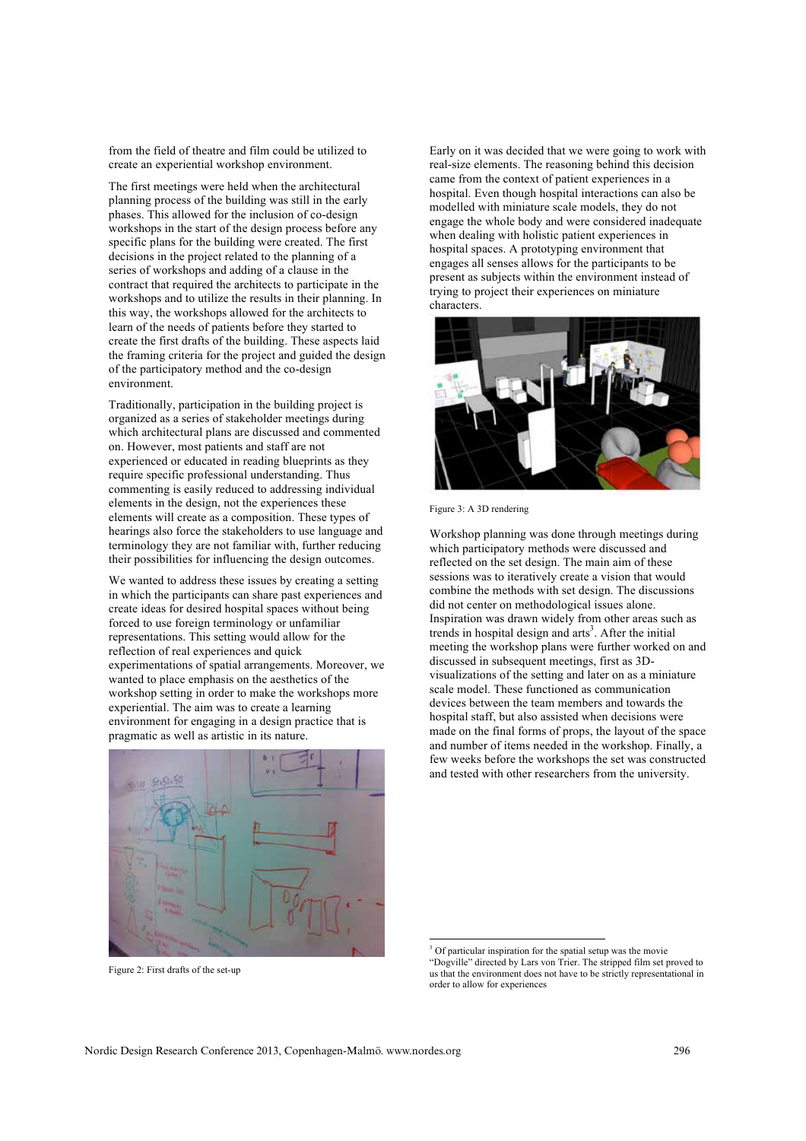from the field of theatre and film could be utilized to create an experiential workshop environment.

The first meetings were held when the architectural planning process of the building was still in the early phases. This allowed for the inclusion of co-design workshops in the start of the design process before any specific plans for the building were created. The first decisions in the project related to the planning of a series of workshops and adding of a clause in the contract that required the architects to participate in the workshops and to utilize the results in their planning. In this way, the workshops allowed for the architects to learn of the needs of patients before they started to create the first drafts of the building. These aspects laid the framing criteria for the project and guided the design of the participatory method and the co-design environment.

Traditionally, participation in the building project is organized as a series of stakeholder meetings during which architectural plans are discussed and commented on. However, most patients and staff are not experienced or educated in reading blueprints as they require specific professional understanding. Thus commenting is easily reduced to addressing individual elements in the design, not the experiences these elements will create as a composition. These types of hearings also force the stakeholders to use language and terminology they are not familiar with, further reducing their possibilities for influencing the design outcomes.

We wanted to address these issues by creating a setting in which the participants can share past experiences and create ideas for desired hospital spaces without being forced to use foreign terminology or unfamiliar representations. This setting would allow for the reflection of real experiences and quick experimentations of spatial arrangements. Moreover, we wanted to place emphasis on the aesthetics of the workshop setting in order to make the workshops more experiential. The aim was to create a learning environment for engaging in a design practice that is pragmatic as well as artistic in its nature.



Figure 2: First drafts of the set-up

Early on it was decided that we were going to work with real-size elements. The reasoning behind this decision came from the context of patient experiences in a hospital. Even though hospital interactions can also be modelled with miniature scale models, they do not engage the whole body and were considered inadequate when dealing with holistic patient experiences in hospital spaces. A prototyping environment that engages all senses allows for the participants to be present as subjects within the environment instead of trying to project their experiences on miniature characters.



Figure 3: A 3D rendering

Workshop planning was done through meetings during which participatory methods were discussed and reflected on the set design. The main aim of these sessions was to iteratively create a vision that would combine the methods with set design. The discussions did not center on methodological issues alone. Inspiration was drawn widely from other areas such as trends in hospital design and  $arts<sup>3</sup>$ . After the initial meeting the workshop plans were further worked on and discussed in subsequent meetings, first as 3Dvisualizations of the setting and later on as a miniature scale model. These functioned as communication devices between the team members and towards the hospital staff, but also assisted when decisions were made on the final forms of props, the layout of the space and number of items needed in the workshop. Finally, a few weeks before the workshops the set was constructed and tested with other researchers from the university.

<sup>3</sup> Of particular inspiration for the spatial setup was the movie "Dogville" directed by Lars von Trier. The stripped film set proved to us that the environment does not have to be strictly representational in order to allow for experiences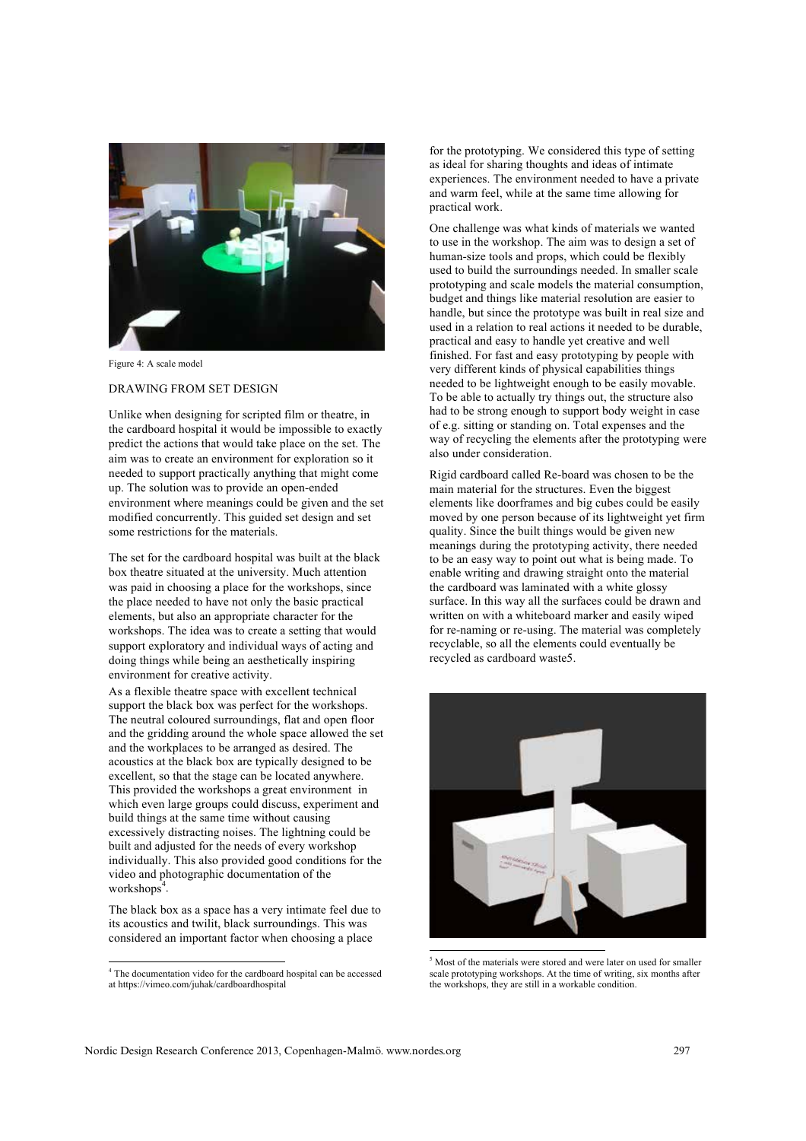

Figure 4: A scale model

#### DRAWING FROM SET DESIGN

Unlike when designing for scripted film or theatre, in the cardboard hospital it would be impossible to exactly predict the actions that would take place on the set. The aim was to create an environment for exploration so it needed to support practically anything that might come up. The solution was to provide an open-ended environment where meanings could be given and the set modified concurrently. This guided set design and set some restrictions for the materials.

The set for the cardboard hospital was built at the black box theatre situated at the university. Much attention was paid in choosing a place for the workshops, since the place needed to have not only the basic practical elements, but also an appropriate character for the workshops. The idea was to create a setting that would support exploratory and individual ways of acting and doing things while being an aesthetically inspiring environment for creative activity.

As a flexible theatre space with excellent technical support the black box was perfect for the workshops. The neutral coloured surroundings, flat and open floor and the gridding around the whole space allowed the set and the workplaces to be arranged as desired. The acoustics at the black box are typically designed to be excellent, so that the stage can be located anywhere. This provided the workshops a great environment in which even large groups could discuss, experiment and build things at the same time without causing excessively distracting noises. The lightning could be built and adjusted for the needs of every workshop individually. This also provided good conditions for the video and photographic documentation of the workshops<sup> $4$ </sup>.

The black box as a space has a very intimate feel due to its acoustics and twilit, black surroundings. This was considered an important factor when choosing a place

 4 The documentation video for the cardboard hospital can be accessed at https://vimeo.com/juhak/cardboardhospital

for the prototyping. We considered this type of setting as ideal for sharing thoughts and ideas of intimate experiences. The environment needed to have a private and warm feel, while at the same time allowing for practical work.

One challenge was what kinds of materials we wanted to use in the workshop. The aim was to design a set of human-size tools and props, which could be flexibly used to build the surroundings needed. In smaller scale prototyping and scale models the material consumption, budget and things like material resolution are easier to handle, but since the prototype was built in real size and used in a relation to real actions it needed to be durable, practical and easy to handle yet creative and well finished. For fast and easy prototyping by people with very different kinds of physical capabilities things needed to be lightweight enough to be easily movable. To be able to actually try things out, the structure also had to be strong enough to support body weight in case of e.g. sitting or standing on. Total expenses and the way of recycling the elements after the prototyping were also under consideration.

Rigid cardboard called Re-board was chosen to be the main material for the structures. Even the biggest elements like doorframes and big cubes could be easily moved by one person because of its lightweight yet firm quality. Since the built things would be given new meanings during the prototyping activity, there needed to be an easy way to point out what is being made. To enable writing and drawing straight onto the material the cardboard was laminated with a white glossy surface. In this way all the surfaces could be drawn and written on with a whiteboard marker and easily wiped for re-naming or re-using. The material was completely recyclable, so all the elements could eventually be recycled as cardboard waste5.



<sup>5</sup> Most of the materials were stored and were later on used for smaller scale prototyping workshops. At the time of writing, six months after the workshops, they are still in a workable condition.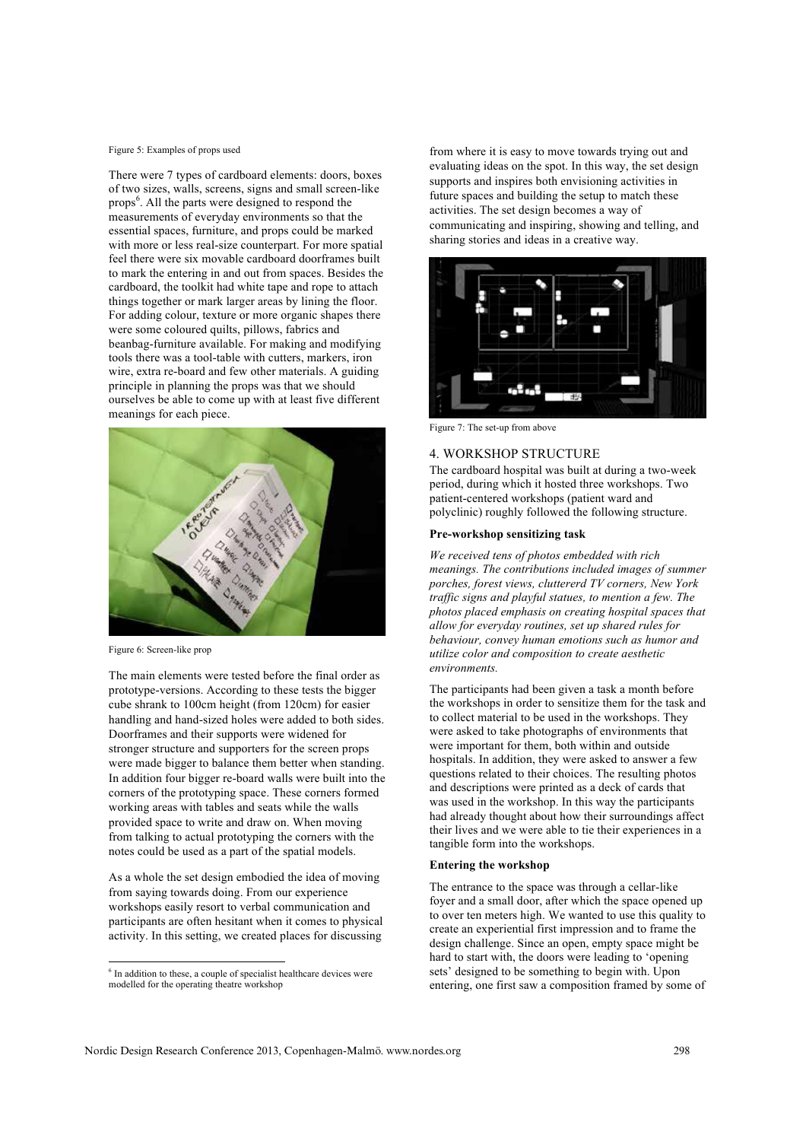Figure 5: Examples of props used

There were 7 types of cardboard elements: doors, boxes of two sizes, walls, screens, signs and small screen-like props<sup>6</sup>. All the parts were designed to respond the measurements of everyday environments so that the essential spaces, furniture, and props could be marked with more or less real-size counterpart. For more spatial feel there were six movable cardboard doorframes built to mark the entering in and out from spaces. Besides the cardboard, the toolkit had white tape and rope to attach things together or mark larger areas by lining the floor. For adding colour, texture or more organic shapes there were some coloured quilts, pillows, fabrics and beanbag-furniture available. For making and modifying tools there was a tool-table with cutters, markers, iron wire, extra re-board and few other materials. A guiding principle in planning the props was that we should ourselves be able to come up with at least five different meanings for each piece.



Figure 6: Screen-like prop

The main elements were tested before the final order as prototype-versions. According to these tests the bigger cube shrank to 100cm height (from 120cm) for easier handling and hand-sized holes were added to both sides. Doorframes and their supports were widened for stronger structure and supporters for the screen props were made bigger to balance them better when standing. In addition four bigger re-board walls were built into the corners of the prototyping space. These corners formed working areas with tables and seats while the walls provided space to write and draw on. When moving from talking to actual prototyping the corners with the notes could be used as a part of the spatial models.

As a whole the set design embodied the idea of moving from saying towards doing. From our experience workshops easily resort to verbal communication and participants are often hesitant when it comes to physical activity. In this setting, we created places for discussing

from where it is easy to move towards trying out and evaluating ideas on the spot. In this way, the set design supports and inspires both envisioning activities in future spaces and building the setup to match these activities. The set design becomes a way of communicating and inspiring, showing and telling, and sharing stories and ideas in a creative way.



Figure 7: The set-up from above

# 4. WORKSHOP STRUCTURE

The cardboard hospital was built at during a two-week period, during which it hosted three workshops. Two patient-centered workshops (patient ward and polyclinic) roughly followed the following structure.

# **Pre-workshop sensitizing task**

*We received tens of photos embedded with rich meanings. The contributions included images of summer porches, forest views, cluttererd TV corners, New York traffic signs and playful statues, to mention a few. The photos placed emphasis on creating hospital spaces that allow for everyday routines, set up shared rules for behaviour, convey human emotions such as humor and utilize color and composition to create aesthetic environments.*

The participants had been given a task a month before the workshops in order to sensitize them for the task and to collect material to be used in the workshops. They were asked to take photographs of environments that were important for them, both within and outside hospitals. In addition, they were asked to answer a few questions related to their choices. The resulting photos and descriptions were printed as a deck of cards that was used in the workshop. In this way the participants had already thought about how their surroundings affect their lives and we were able to tie their experiences in a tangible form into the workshops.

#### **Entering the workshop**

The entrance to the space was through a cellar-like foyer and a small door, after which the space opened up to over ten meters high. We wanted to use this quality to create an experiential first impression and to frame the design challenge. Since an open, empty space might be hard to start with, the doors were leading to 'opening sets' designed to be something to begin with. Upon entering, one first saw a composition framed by some of

<sup>&</sup>lt;sup>6</sup> In addition to these, a couple of specialist healthcare devices were modelled for the operating theatre workshop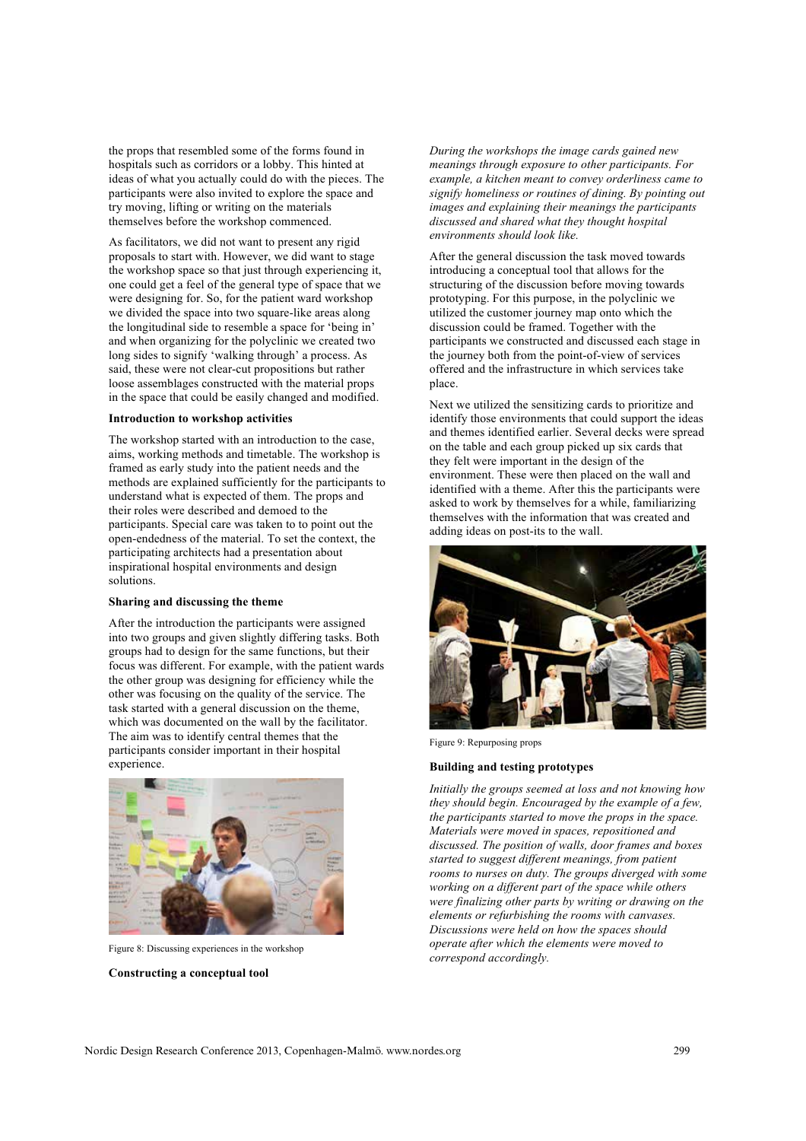the props that resembled some of the forms found in hospitals such as corridors or a lobby. This hinted at ideas of what you actually could do with the pieces. The participants were also invited to explore the space and try moving, lifting or writing on the materials themselves before the workshop commenced.

As facilitators, we did not want to present any rigid proposals to start with. However, we did want to stage the workshop space so that just through experiencing it, one could get a feel of the general type of space that we were designing for. So, for the patient ward workshop we divided the space into two square-like areas along the longitudinal side to resemble a space for 'being in' and when organizing for the polyclinic we created two long sides to signify 'walking through' a process. As said, these were not clear-cut propositions but rather loose assemblages constructed with the material props in the space that could be easily changed and modified.

#### **Introduction to workshop activities**

The workshop started with an introduction to the case, aims, working methods and timetable. The workshop is framed as early study into the patient needs and the methods are explained sufficiently for the participants to understand what is expected of them. The props and their roles were described and demoed to the participants. Special care was taken to to point out the open-endedness of the material. To set the context, the participating architects had a presentation about inspirational hospital environments and design solutions.

#### **Sharing and discussing the theme**

After the introduction the participants were assigned into two groups and given slightly differing tasks. Both groups had to design for the same functions, but their focus was different. For example, with the patient wards the other group was designing for efficiency while the other was focusing on the quality of the service. The task started with a general discussion on the theme, which was documented on the wall by the facilitator. The aim was to identify central themes that the participants consider important in their hospital experience.



Figure 8: Discussing experiences in the workshop

**Constructing a conceptual tool**

*During the workshops the image cards gained new meanings through exposure to other participants. For example, a kitchen meant to convey orderliness came to signify homeliness or routines of dining. By pointing out images and explaining their meanings the participants discussed and shared what they thought hospital environments should look like.* 

After the general discussion the task moved towards introducing a conceptual tool that allows for the structuring of the discussion before moving towards prototyping. For this purpose, in the polyclinic we utilized the customer journey map onto which the discussion could be framed. Together with the participants we constructed and discussed each stage in the journey both from the point-of-view of services offered and the infrastructure in which services take place.

Next we utilized the sensitizing cards to prioritize and identify those environments that could support the ideas and themes identified earlier. Several decks were spread on the table and each group picked up six cards that they felt were important in the design of the environment. These were then placed on the wall and identified with a theme. After this the participants were asked to work by themselves for a while, familiarizing themselves with the information that was created and adding ideas on post-its to the wall.



Figure 9: Repurposing props

#### **Building and testing prototypes**

*Initially the groups seemed at loss and not knowing how they should begin. Encouraged by the example of a few, the participants started to move the props in the space. Materials were moved in spaces, repositioned and discussed. The position of walls, door frames and boxes started to suggest different meanings, from patient rooms to nurses on duty. The groups diverged with some working on a different part of the space while others were finalizing other parts by writing or drawing on the elements or refurbishing the rooms with canvases. Discussions were held on how the spaces should operate after which the elements were moved to correspond accordingly.*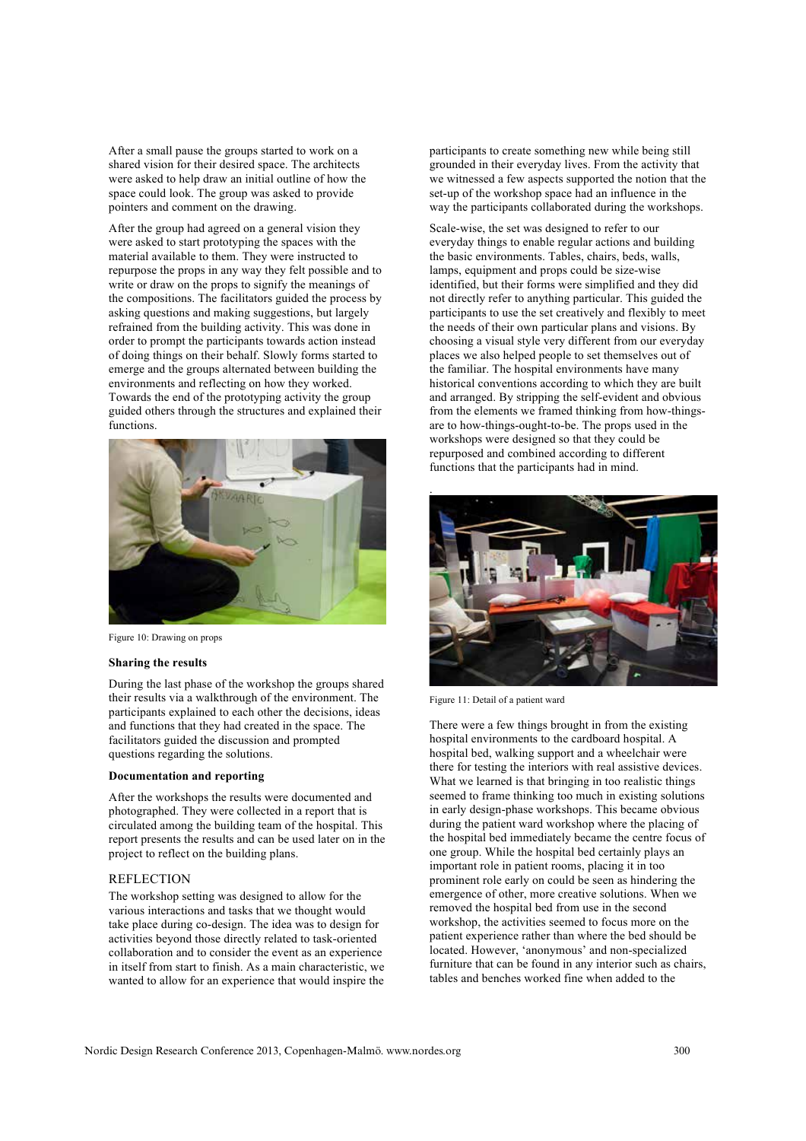After a small pause the groups started to work on a shared vision for their desired space. The architects were asked to help draw an initial outline of how the space could look. The group was asked to provide pointers and comment on the drawing.

After the group had agreed on a general vision they were asked to start prototyping the spaces with the material available to them. They were instructed to repurpose the props in any way they felt possible and to write or draw on the props to signify the meanings of the compositions. The facilitators guided the process by asking questions and making suggestions, but largely refrained from the building activity. This was done in order to prompt the participants towards action instead of doing things on their behalf. Slowly forms started to emerge and the groups alternated between building the environments and reflecting on how they worked. Towards the end of the prototyping activity the group guided others through the structures and explained their functions.



Figure 10: Drawing on props

## **Sharing the results**

During the last phase of the workshop the groups shared their results via a walkthrough of the environment. The participants explained to each other the decisions, ideas and functions that they had created in the space. The facilitators guided the discussion and prompted questions regarding the solutions.

#### **Documentation and reporting**

After the workshops the results were documented and photographed. They were collected in a report that is circulated among the building team of the hospital. This report presents the results and can be used later on in the project to reflect on the building plans.

#### **REFLECTION**

The workshop setting was designed to allow for the various interactions and tasks that we thought would take place during co-design. The idea was to design for activities beyond those directly related to task-oriented collaboration and to consider the event as an experience in itself from start to finish. As a main characteristic, we wanted to allow for an experience that would inspire the participants to create something new while being still grounded in their everyday lives. From the activity that we witnessed a few aspects supported the notion that the set-up of the workshop space had an influence in the way the participants collaborated during the workshops.

Scale-wise, the set was designed to refer to our everyday things to enable regular actions and building the basic environments. Tables, chairs, beds, walls, lamps, equipment and props could be size-wise identified, but their forms were simplified and they did not directly refer to anything particular. This guided the participants to use the set creatively and flexibly to meet the needs of their own particular plans and visions. By choosing a visual style very different from our everyday places we also helped people to set themselves out of the familiar. The hospital environments have many historical conventions according to which they are built and arranged. By stripping the self-evident and obvious from the elements we framed thinking from how-thingsare to how-things-ought-to-be. The props used in the workshops were designed so that they could be repurposed and combined according to different functions that the participants had in mind.



Figure 11: Detail of a patient ward

There were a few things brought in from the existing hospital environments to the cardboard hospital. A hospital bed, walking support and a wheelchair were there for testing the interiors with real assistive devices. What we learned is that bringing in too realistic things seemed to frame thinking too much in existing solutions in early design-phase workshops. This became obvious during the patient ward workshop where the placing of the hospital bed immediately became the centre focus of one group. While the hospital bed certainly plays an important role in patient rooms, placing it in too prominent role early on could be seen as hindering the emergence of other, more creative solutions. When we removed the hospital bed from use in the second workshop, the activities seemed to focus more on the patient experience rather than where the bed should be located. However, 'anonymous' and non-specialized furniture that can be found in any interior such as chairs, tables and benches worked fine when added to the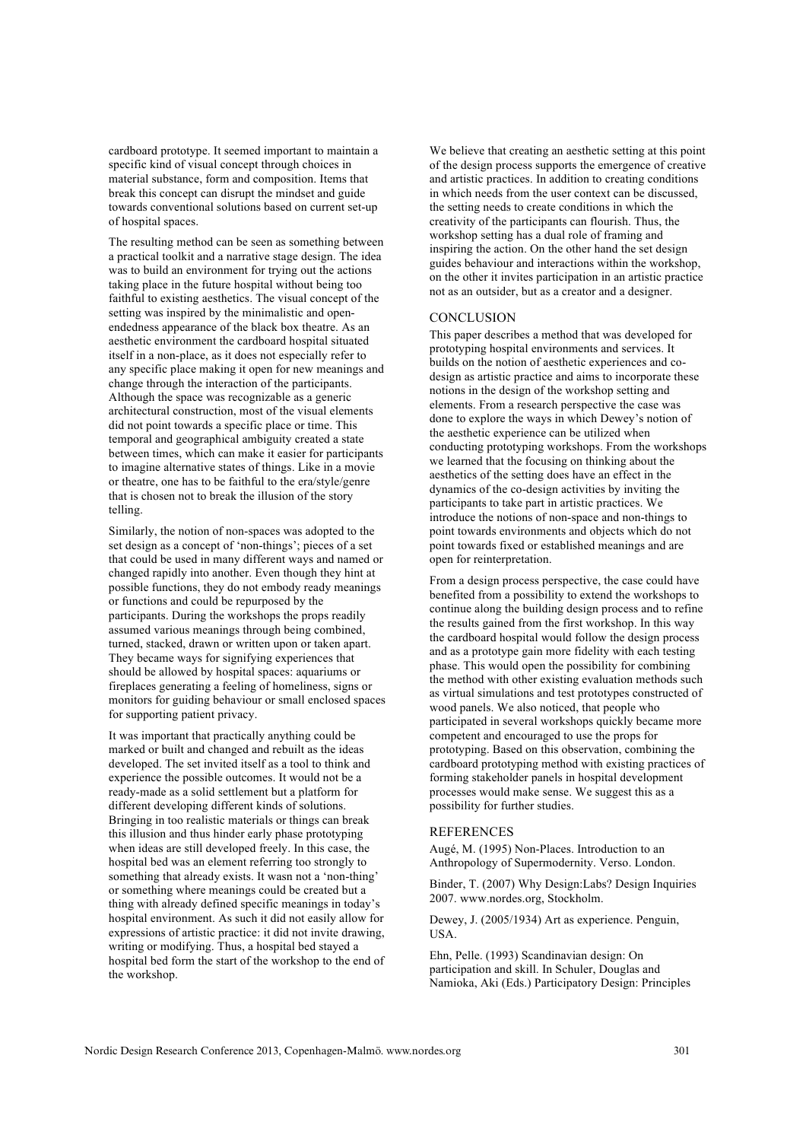cardboard prototype. It seemed important to maintain a specific kind of visual concept through choices in material substance, form and composition. Items that break this concept can disrupt the mindset and guide towards conventional solutions based on current set-up of hospital spaces.

The resulting method can be seen as something between a practical toolkit and a narrative stage design. The idea was to build an environment for trying out the actions taking place in the future hospital without being too faithful to existing aesthetics. The visual concept of the setting was inspired by the minimalistic and openendedness appearance of the black box theatre. As an aesthetic environment the cardboard hospital situated itself in a non-place, as it does not especially refer to any specific place making it open for new meanings and change through the interaction of the participants. Although the space was recognizable as a generic architectural construction, most of the visual elements did not point towards a specific place or time. This temporal and geographical ambiguity created a state between times, which can make it easier for participants to imagine alternative states of things. Like in a movie or theatre, one has to be faithful to the era/style/genre that is chosen not to break the illusion of the story telling.

Similarly, the notion of non-spaces was adopted to the set design as a concept of 'non-things'; pieces of a set that could be used in many different ways and named or changed rapidly into another. Even though they hint at possible functions, they do not embody ready meanings or functions and could be repurposed by the participants. During the workshops the props readily assumed various meanings through being combined, turned, stacked, drawn or written upon or taken apart. They became ways for signifying experiences that should be allowed by hospital spaces: aquariums or fireplaces generating a feeling of homeliness, signs or monitors for guiding behaviour or small enclosed spaces for supporting patient privacy.

It was important that practically anything could be marked or built and changed and rebuilt as the ideas developed. The set invited itself as a tool to think and experience the possible outcomes. It would not be a ready-made as a solid settlement but a platform for different developing different kinds of solutions. Bringing in too realistic materials or things can break this illusion and thus hinder early phase prototyping when ideas are still developed freely. In this case, the hospital bed was an element referring too strongly to something that already exists. It wasn not a 'non-thing' or something where meanings could be created but a thing with already defined specific meanings in today's hospital environment. As such it did not easily allow for expressions of artistic practice: it did not invite drawing, writing or modifying. Thus, a hospital bed stayed a hospital bed form the start of the workshop to the end of the workshop.

We believe that creating an aesthetic setting at this point of the design process supports the emergence of creative and artistic practices. In addition to creating conditions in which needs from the user context can be discussed, the setting needs to create conditions in which the creativity of the participants can flourish. Thus, the workshop setting has a dual role of framing and inspiring the action. On the other hand the set design guides behaviour and interactions within the workshop, on the other it invites participation in an artistic practice not as an outsider, but as a creator and a designer.

#### **CONCLUSION**

This paper describes a method that was developed for prototyping hospital environments and services. It builds on the notion of aesthetic experiences and codesign as artistic practice and aims to incorporate these notions in the design of the workshop setting and elements. From a research perspective the case was done to explore the ways in which Dewey's notion of the aesthetic experience can be utilized when conducting prototyping workshops. From the workshops we learned that the focusing on thinking about the aesthetics of the setting does have an effect in the dynamics of the co-design activities by inviting the participants to take part in artistic practices. We introduce the notions of non-space and non-things to point towards environments and objects which do not point towards fixed or established meanings and are open for reinterpretation.

From a design process perspective, the case could have benefited from a possibility to extend the workshops to continue along the building design process and to refine the results gained from the first workshop. In this way the cardboard hospital would follow the design process and as a prototype gain more fidelity with each testing phase. This would open the possibility for combining the method with other existing evaluation methods such as virtual simulations and test prototypes constructed of wood panels. We also noticed, that people who participated in several workshops quickly became more competent and encouraged to use the props for prototyping. Based on this observation, combining the cardboard prototyping method with existing practices of forming stakeholder panels in hospital development processes would make sense. We suggest this as a possibility for further studies.

#### REFERENCES

Augé, M. (1995) Non-Places. Introduction to an Anthropology of Supermodernity. Verso. London.

Binder, T. (2007) Why Design:Labs? Design Inquiries 2007. www.nordes.org, Stockholm.

Dewey, J. (2005/1934) Art as experience. Penguin, USA.

Ehn, Pelle. (1993) Scandinavian design: On participation and skill. In Schuler, Douglas and Namioka, Aki (Eds.) Participatory Design: Principles